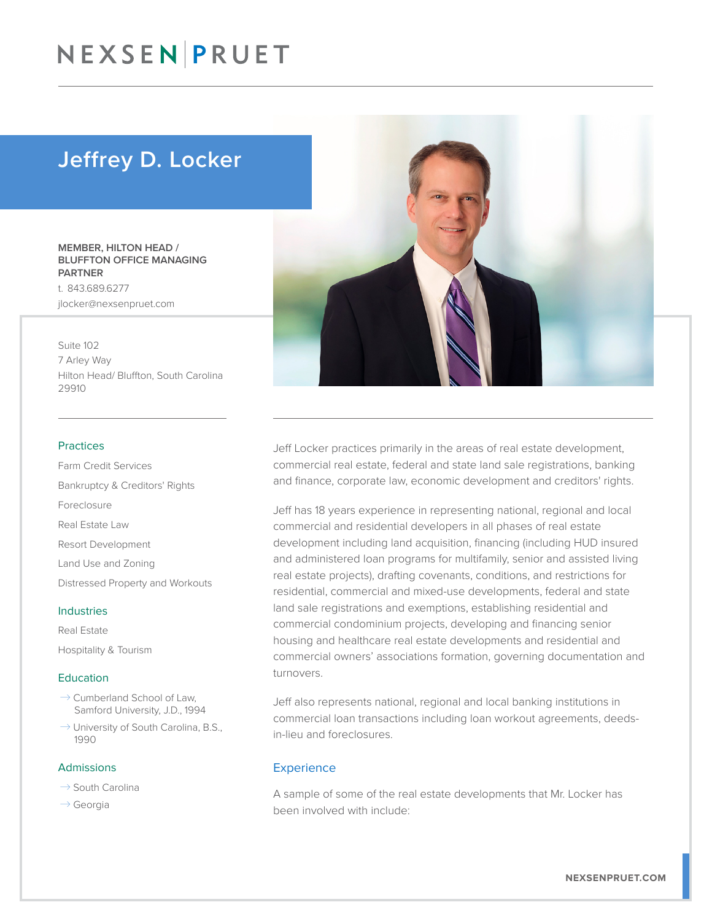## NEXSEN PRUET

### Jeffrey D. Locker

#### MEMBER, HILTON HEAD / BLUFFTON OFFICE MANAGING **PARTNER**

t. 843.689.6277 jlocker@nexsenpruet.com

Suite 102 7 Arley Way Hilton Head/ Bluffton, South Carolina 29910

#### Practices

Farm Credit Services Bankruptcy & Creditors' Rights Foreclosure Real Estate Law Resort Development Land Use and Zoning Distressed Property and Workouts

Real Estate

Hospitality & Tourism

#### **Education**

Industries

- $\rightarrow$  Cumberland School of Law. Samford University, J.D., 1994
- $\rightarrow$  University of South Carolina, B.S., 1990

#### Admissions

- $\rightarrow$  South Carolina
- $\rightarrow$  Georgia



Jeff Locker practices primarily in the areas of real estate development, commercial real estate, federal and state land sale registrations, banking and finance, corporate law, economic development and creditors' rights.

Jeff has 18 years experience in representing national, regional and local commercial and residential developers in all phases of real estate development including land acquisition, financing (including HUD insured and administered loan programs for multifamily, senior and assisted living real estate projects), drafting covenants, conditions, and restrictions for residential, commercial and mixed-use developments, federal and state land sale registrations and exemptions, establishing residential and commercial condominium projects, developing and financing senior housing and healthcare real estate developments and residential and commercial owners' associations formation, governing documentation and turnovers.

Jeff also represents national, regional and local banking institutions in commercial loan transactions including loan workout agreements, deedsin-lieu and foreclosures.

#### **Experience**

A sample of some of the real estate developments that Mr. Locker has been involved with include: